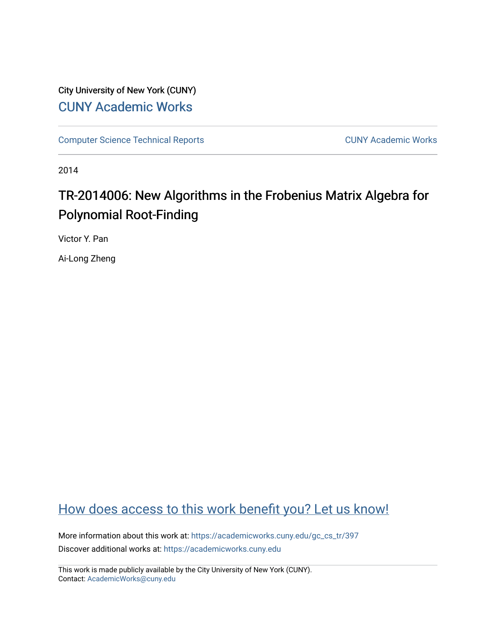# City University of New York (CUNY) [CUNY Academic Works](https://academicworks.cuny.edu/)

[Computer Science Technical Reports](https://academicworks.cuny.edu/gc_cs_tr) **CUNY Academic Works** CUNY Academic Works

2014

# TR-2014006: New Algorithms in the Frobenius Matrix Algebra for Polynomial Root-Finding

Victor Y. Pan

Ai-Long Zheng

# [How does access to this work benefit you? Let us know!](http://ols.cuny.edu/academicworks/?ref=https://academicworks.cuny.edu/gc_cs_tr/397)

More information about this work at: https://academicworks.cuny.edu/gc\_cs\_tr/397 Discover additional works at: [https://academicworks.cuny.edu](https://academicworks.cuny.edu/?)

This work is made publicly available by the City University of New York (CUNY). Contact: [AcademicWorks@cuny.edu](mailto:AcademicWorks@cuny.edu)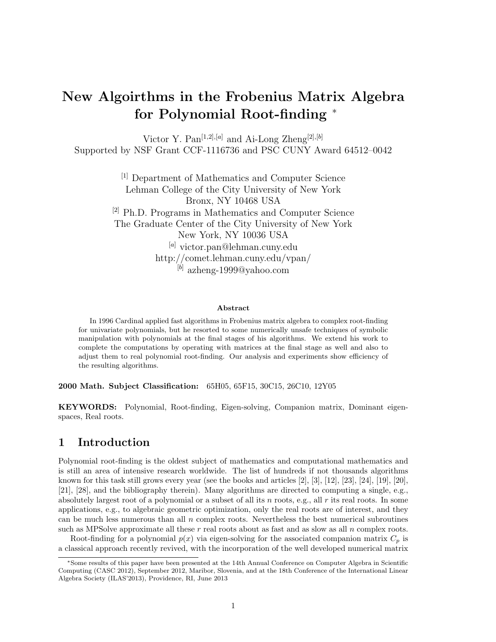# New Algoirthms in the Frobenius Matrix Algebra for Polynomial Root-finding <sup>∗</sup>

Victor Y. Pan<sup>[1,2],[a]</sup> and Ai-Long Zheng<sup>[2],[b]</sup> Supported by NSF Grant CCF-1116736 and PSC CUNY Award 64512–0042

> [1] Department of Mathematics and Computer Science Lehman College of the City University of New York Bronx, NY 10468 USA [2] Ph.D. Programs in Mathematics and Computer Science The Graduate Center of the City University of New York New York, NY 10036 USA [a] victor.pan@lehman.cuny.edu http://comet.lehman.cuny.edu/vpan/  $^{[b]}$  azheng-1999@yahoo.com

#### Abstract

In 1996 Cardinal applied fast algorithms in Frobenius matrix algebra to complex root-finding for univariate polynomials, but he resorted to some numerically unsafe techniques of symbolic manipulation with polynomials at the final stages of his algorithms. We extend his work to complete the computations by operating with matrices at the final stage as well and also to adjust them to real polynomial root-finding. Our analysis and experiments show efficiency of the resulting algorithms.

2000 Math. Subject Classification: 65H05, 65F15, 30C15, 26C10, 12Y05

KEYWORDS: Polynomial, Root-finding, Eigen-solving, Companion matrix, Dominant eigenspaces, Real roots.

## 1 Introduction

Polynomial root-finding is the oldest subject of mathematics and computational mathematics and is still an area of intensive research worldwide. The list of hundreds if not thousands algorithms known for this task still grows every year (see the books and articles [2], [3], [12], [23], [24], [19], [20], [21], [28], and the bibliography therein). Many algorithms are directed to computing a single, e.g., absolutely largest root of a polynomial or a subset of all its n roots, e.g., all  $r$  its real roots. In some applications, e.g., to algebraic geometric optimization, only the real roots are of interest, and they can be much less numerous than all  $n$  complex roots. Nevertheless the best numerical subroutines such as MPSolve approximate all these  $r$  real roots about as fast and as slow as all  $n$  complex roots.

Root-finding for a polynomial  $p(x)$  via eigen-solving for the associated companion matrix  $C_p$  is a classical approach recently revived, with the incorporation of the well developed numerical matrix

<sup>∗</sup>Some results of this paper have been presented at the 14th Annual Conference on Computer Algebra in Scientific Computing (CASC 2012), September 2012, Maribor, Slovenia, and at the 18th Conference of the International Linear Algebra Society (ILAS'2013), Providence, RI, June 2013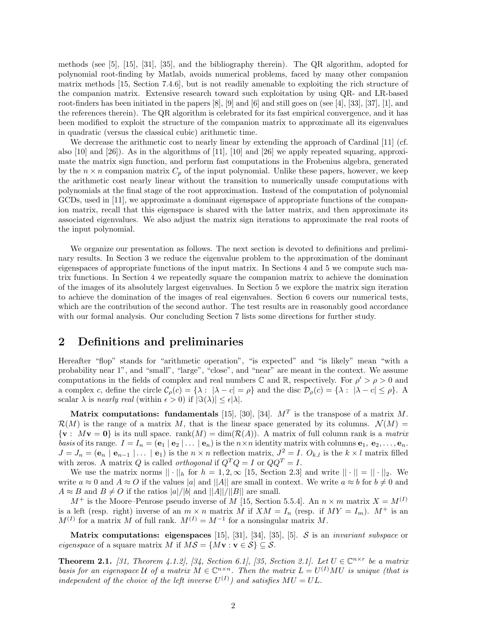methods (see [5], [15], [31], [35], and the bibliography therein). The QR algorithm, adopted for polynomial root-finding by Matlab, avoids numerical problems, faced by many other companion matrix methods [15, Section 7.4.6], but is not readily amenable to exploiting the rich structure of the companion matrix. Extensive research toward such exploitation by using QR- and LR-based root-finders has been initiated in the papers [8], [9] and [6] and still goes on (see [4], [33], [37], [1], and the references therein). The QR algorithm is celebrated for its fast empirical convergence, and it has been modified to exploit the structure of the companion matrix to approximate all its eigenvalues in quadratic (versus the classical cubic) arithmetic time.

We decrease the arithmetic cost to nearly linear by extending the approach of Cardinal [11] (cf. also [10] and [26]). As in the algorithms of [11], [10] and [26] we apply repeated squaring, approximate the matrix sign function, and perform fast computations in the Frobenius algebra, generated by the  $n \times n$  companion matrix  $C_p$  of the input polynomial. Unlike these papers, however, we keep the arithmetic cost nearly linear without the transition to numerically unsafe computations with polynomials at the final stage of the root approximation. Instead of the computation of polynomial GCDs, used in [11], we approximate a dominant eigenspace of appropriate functions of the companion matrix, recall that this eigenspace is shared with the latter matrix, and then approximate its associated eigenvalues. We also adjust the matrix sign iterations to approximate the real roots of the input polynomial.

We organize our presentation as follows. The next section is devoted to definitions and preliminary results. In Section 3 we reduce the eigenvalue problem to the approximation of the dominant eigenspaces of appropriate functions of the input matrix. In Sections 4 and 5 we compute such matrix functions. In Section 4 we repeatedly square the companion matrix to achieve the domination of the images of its absolutely largest eigenvalues. In Section 5 we explore the matrix sign iteration to achieve the domination of the images of real eigenvalues. Section 6 covers our numerical tests, which are the contribution of the second author. The test results are in reasonably good accordance with our formal analysis. Our concluding Section 7 lists some directions for further study.

# 2 Definitions and preliminaries

Hereafter "flop" stands for "arithmetic operation", "is expected" and "is likely" mean "with a probability near 1", and "small", "large", "close", and "near" are meant in the context. We assume computations in the fields of complex and real numbers  $\mathbb C$  and  $\mathbb R$ , respectively. For  $\rho' > \rho > 0$  and a complex c, define the circle  $\mathcal{C}_{\rho}(c) = \{\lambda : |\lambda - c| = \rho\}$  and the disc  $\mathcal{D}_{\rho}(c) = \{\lambda : |\lambda - c| \leq \rho\}$ . scalar  $\lambda$  is nearly real (within  $\epsilon > 0$ ) if  $|\Im(\lambda)| \leq \epsilon |\lambda|$ .

Matrix computations: fundamentals [15], [30], [34].  $M<sup>T</sup>$  is the transpose of a matrix M.  $\mathcal{R}(M)$  is the range of a matrix M, that is the linear space generated by its columns.  $\mathcal{N}(M)$  =  $\{v : Mv = 0\}$  is its null space. rank $(M) = \dim(\mathcal{R}(A))$ . A matrix of full column rank is a matrix basis of its range.  $I = I_n = (\mathbf{e}_1 | \mathbf{e}_2 | \dots | \mathbf{e}_n)$  is the  $n \times n$  identity matrix with columns  $\mathbf{e}_1, \mathbf{e}_2, \dots, \mathbf{e}_n$ .  $J = J_n = (e_n \mid e_{n-1} \mid \dots \mid e_1)$  is the  $n \times n$  reflection matrix,  $J^2 = I$ .  $O_{k,l}$  is the  $k \times l$  matrix filled with zeros. A matrix  $Q$  is called  $orthogonal$  if  $Q^TQ = I$  or  $QQ^T = I.$ 

We use the matrix norms  $|| \cdot ||_h$  for  $h = 1, 2, \infty$  [15, Section 2.3] and write  $|| \cdot || = || \cdot ||_2$ . We write  $a \approx 0$  and  $A \approx O$  if the values |a| and ||A|| are small in context. We write  $a \approx b$  for  $b \neq 0$  and  $A \approx B$  and  $B \neq O$  if the ratios  $|a|/|b|$  and  $||A||/||B||$  are small.

 $M^+$  is the Moore–Penrose pseudo inverse of M [15, Section 5.5.4]. An  $n \times m$  matrix  $X = M^{(I)}$ is a left (resp. right) inverse of an  $m \times n$  matrix M if  $XM = I_n$  (resp. if  $MY = I_m$ ).  $M^+$  is an  $M^{(I)}$  for a matrix M of full rank.  $M^{(I)} = M^{-1}$  for a nonsingular matrix M.

Matrix computations: eigenspaces [15], [31], [34], [35], [5]. S is an *invariant subspace* or eigenspace of a square matrix M if  $M\mathcal{S} = \{M\mathbf{v} : \mathbf{v} \in \mathcal{S}\}\subseteq \mathcal{S}$ .

**Theorem 2.1.** [31, Theorem 4.1.2], [34, Section 6.1], [35, Section 2.1]. Let  $U \in \mathbb{C}^{n \times r}$  be a matrix basis for an eigenspace U of a matrix  $M \in \mathbb{C}^{n \times n}$ . Then the matrix  $L = U^{(I)}MU$  is unique (that is independent of the choice of the left inverse  $U^{(I)}$ ) and satisfies  $MU = UL$ .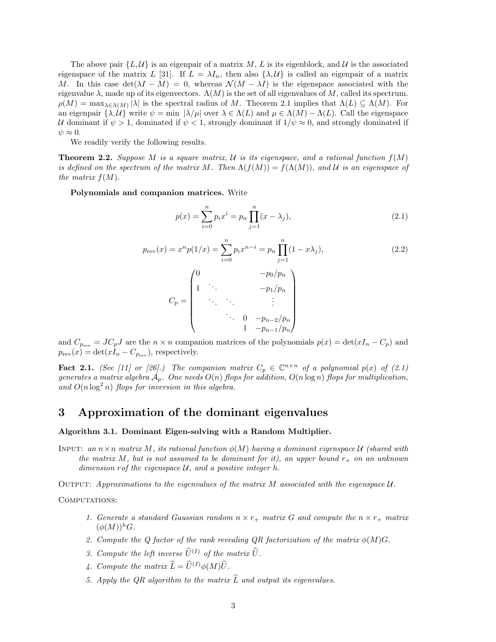The above pair  $\{L, \mathcal{U}\}\$ is an eigenpair of a matrix M, L is its eigenblock, and U is the associated eigenspace of the matrix L [31]. If  $L = \lambda I_n$ , then also  $\{\lambda, \mathcal{U}\}\$ is called an eigenpair of a matrix M. In this case  $\det(\lambda I - M) = 0$ , whereas  $\mathcal{N}(M - \lambda I)$  is the eigenspace associated with the eigenvalue  $\lambda$ , made up of its eigenvectors.  $\Lambda(M)$  is the set of all eigenvalues of M, called its spectrum.  $\rho(M) = \max_{\lambda \in \Lambda(M)} |\lambda|$  is the spectral radius of M. Theorem 2.1 implies that  $\Lambda(L) \subseteq \Lambda(M)$ . For an eigenpair  $\{\lambda, \mathcal{U}\}\$  write  $\psi = \min |\lambda/\mu|$  over  $\lambda \in \Lambda(L)$  and  $\mu \in \Lambda(M) - \Lambda(L)$ . Call the eigenspace U dominant if  $\psi > 1$ , dominated if  $\psi < 1$ , strongly dominant if  $1/\psi \approx 0$ , and strongly dominated if  $\psi \approx 0.$ 

We readily verify the following results.

**Theorem 2.2.** Suppose M is a square matrix, U is its eigenspace, and a rational function  $f(M)$ is defined on the spectrum of the matrix M. Then  $\Lambda(f(M)) = f(\Lambda(M))$ , and U is an eigenspace of the matrix  $f(M)$ .

Polynomials and companion matrices. Write

$$
p(x) = \sum_{i=0}^{n} p_i x^i = p_n \prod_{j=1}^{n} (x - \lambda_j),
$$
\n(2.1)

$$
p_{rev}(x) = x^n p(1/x) = \sum_{i=0}^n p_i x^{n-i} = p_n \prod_{j=1}^n (1 - x\lambda_j),
$$
\n(2.2)

$$
C_p = \begin{pmatrix} 0 & & & & -p_0/p_n \\ & \ddots & & & & -p_1/p_n \\ & & \ddots & & & \vdots \\ & & \ddots & & & \vdots \\ & & & 0 & -p_{n-2}/p_n \\ & & & & 1 & -p_{n-1}/p_n \end{pmatrix}
$$

and  $C_{p_{\text{rev}}} = JC_pJ$  are the  $n \times n$  companion matrices of the polynomials  $p(x) = \det(xI_n - C_p)$  and  $p_{rev}(x) = \det(xI_n - C_{p_{rev}})$ , respectively.

**Fact 2.1.** (See [11] or [26].) The companion matrix  $C_p \in \mathbb{C}^{n \times n}$  of a polynomial  $p(x)$  of (2.1) generates a matrix algebra  $A_p$ . One needs  $O(n)$  flops for addition,  $O(n \log n)$  flops for multiplication, and  $O(n \log^2 n)$  flops for inversion in this algebra.

## 3 Approximation of the dominant eigenvalues

### Algorithm 3.1. Dominant Eigen-solving with a Random Multiplier.

INPUT: an  $n \times n$  matrix M, its rational function  $\phi(M)$  having a dominant eigenspace U (shared with the matrix M, but is not assumed to be dominant for it), an upper bound  $r_{+}$  on an unknown dimension rof the eigenspace  $U$ , and a positive integer h.

OUTPUT: Approximations to the eigenvalues of the matrix  $M$  associated with the eigenspace  $\mathcal{U}$ .

#### COMPUTATIONS:

- 1. Generate a standard Gaussian random  $n \times r_+$  matrix G and compute the  $n \times r_+$  matrix  $(\phi(M))^h$ G.
- 2. Compute the Q factor of the rank revealing QR factorization of the matrix  $\phi(M)G$ .
- 3. Compute the left inverse  $\widehat{U}^{(I)}$  of the matrix  $\widehat{U}$ .
- 4. Compute the matrix  $\widehat{L} = \widehat{U}^{(I)} \phi(M) \widehat{U}$ .
- 5. Apply the QR algorithm to the matrix  $\widehat{L}$  and output its eigenvalues.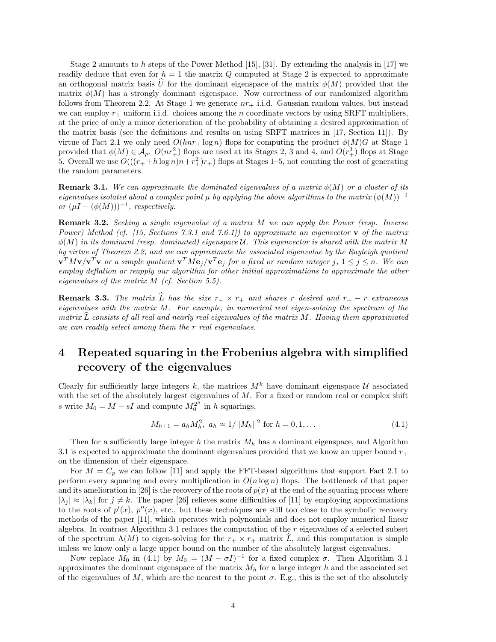Stage 2 amounts to h steps of the Power Method  $[15]$ ,  $[31]$ . By extending the analysis in  $[17]$  we readily deduce that even for  $h = 1$  the matrix Q computed at Stage 2 is expected to approximate an orthogonal matrix basis U for the dominant eigenspace of the matrix  $\phi(M)$  provided that the matrix  $\phi(M)$  has a strongly dominant eigenspace. Now correctness of our randomized algorithm follows from Theorem 2.2. At Stage 1 we generate  $nr_{+}$  i.i.d. Gaussian random values, but instead we can employ  $r_{+}$  uniform i.i.d. choices among the n coordinate vectors by using SRFT multipliers, at the price of only a minor deterioration of the probability of obtaining a desired approximation of the matrix basis (see the definitions and results on using SRFT matrices in [17, Section 11]). By virtue of Fact 2.1 we only need  $O(hnr + \log n)$  flops for computing the product  $\phi(M)G$  at Stage 1 provided that  $\phi(M) \in \mathcal{A}_p$ .  $O(nr_+^2)$  flops are used at its Stages 2, 3 and 4, and  $O(r_+^3)$  flops at Stage 5. Overall we use  $O(((r_+ + h \log n)n + r_+^2)r_+)$  flops at Stages 1–5, not counting the cost of generating the random parameters.

**Remark 3.1.** We can approximate the dominated eigenvalues of a matrix  $\phi(M)$  or a cluster of its eigenvalues isolated about a complex point  $\mu$  by applying the above algorithms to the matrix  $(\phi(M))^{-1}$ or  $(\mu I - (\phi(M)))^{-1}$ , respectively.

Remark 3.2. Seeking a single eigenvalue of a matrix M we can apply the Power (resp. Inverse Power) Method (cf. [15, Sections 7.3.1 and 7.6.1]) to approximate an eigenvector **v** of the matrix  $\phi(M)$  in its dominant (resp. dominated) eigenspace U. This eigenvector is shared with the matrix M by virtue of Theorem 2.2, and we can approximate the associated eigenvalue by the Rayleigh quotient  ${\bf v}^TM{\bf v}/{\bf v}^T{\bf v}$  or a simple quotient  ${\bf v}^TM{\bf e}_j/{\bf v}^T{\bf e}_j$  for a fixed or random integer  $j,\,1\leq j\leq n.$  We can employ deflation or reapply our algorithm for other initial approximations to approximate the other eigenvalues of the matrix M (cf. Section 5.5).

**Remark 3.3.** The matrix  $\widehat{L}$  has the size  $r_+ \times r_+$  and shares r desired and  $r_+ - r$  extraneous eigenvalues with the matrix M. For example, in numerical real eigen-solving the spectrum of the matrix  $\tilde{L}$  consists of all real and nearly real eigenvalues of the matrix M. Having them approximated we can readily select among them the r real eigenvalues.

# 4 Repeated squaring in the Frobenius algebra with simplified recovery of the eigenvalues

Clearly for sufficiently large integers k, the matrices  $M^k$  have dominant eigenspace U associated with the set of the absolutely largest eigenvalues of  $M$ . For a fixed or random real or complex shift s write  $M_0 = M - sI$  and compute  $M_0^{2^h}$  in h squarings,

$$
M_{h+1} = a_h M_h^2, \ a_h \approx 1/||M_h||^2 \text{ for } h = 0, 1, ... \tag{4.1}
$$

Then for a sufficiently large integer h the matrix  $M_h$  has a dominant eigenspace, and Algorithm 3.1 is expected to approximate the dominant eigenvalues provided that we know an upper bound  $r_{+}$ on the dimension of their eigenspace.

For  $M = C_p$  we can follow [11] and apply the FFT-based algorithms that support Fact 2.1 to perform every squaring and every multiplication in  $O(n \log n)$  flops. The bottleneck of that paper and its amelioration in [26] is the recovery of the roots of  $p(x)$  at the end of the squaring process where  $|\lambda_i| \approx |\lambda_k|$  for  $j \neq k$ . The paper [26] relieves some difficulties of [11] by employing approximations to the roots of  $p'(x)$ ,  $p''(x)$ , etc., but these techniques are still too close to the symbolic recovery methods of the paper [11], which operates with polynomials and does not employ numerical linear algebra. In contrast Algorithm 3.1 reduces the computation of the  $r$  eigenvalues of a selected subset of the spectrum  $\Lambda(M)$  to eigen-solving for the  $r_+ \times r_+$  matrix  $\overline{L}$ , and this computation is simple unless we know only a large upper bound on the number of the absolutely largest eigenvalues.

Now replace  $M_0$  in (4.1) by  $M_0 = (M - \sigma I)^{-1}$  for a fixed complex  $\sigma$ . Then Algorithm 3.1 approximates the dominant eigenspace of the matrix  $M_h$  for a large integer h and the associated set of the eigenvalues of M, which are the nearest to the point  $\sigma$ . E.g., this is the set of the absolutely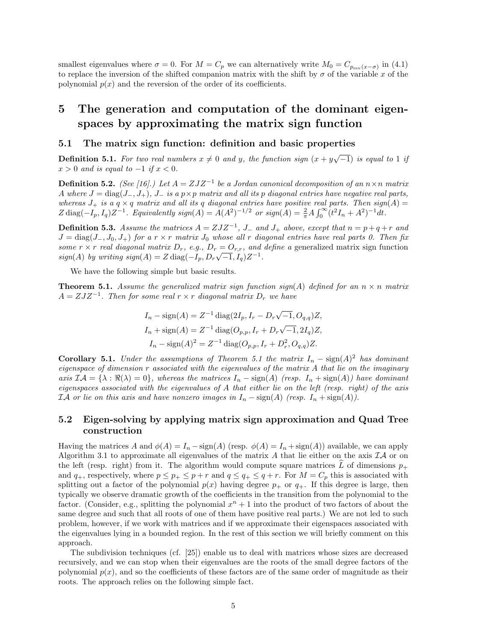smallest eigenvalues where  $\sigma = 0$ . For  $M = C_p$  we can alternatively write  $M_0 = C_{p_{rev}(x-\sigma)}$  in (4.1) to replace the inversion of the shifted companion matrix with the shift by  $\sigma$  of the variable x of the polynomial  $p(x)$  and the reversion of the order of its coefficients.

# 5 The generation and computation of the dominant eigenspaces by approximating the matrix sign function

### 5.1 The matrix sign function: definition and basic properties

**Definition 5.1.** For two real numbers  $x \neq 0$  and y, the function sign  $(x + y\sqrt{-1})$  is equal to 1 if  $x > 0$  and is equal to  $-1$  if  $x < 0$ .

**Definition 5.2.** (See [16].) Let  $A = ZJZ^{-1}$  be a Jordan canonical decomposition of an  $n \times n$  matrix A where  $J = \text{diag}(J_-, J_+), J_-$  is a  $p \times p$  matrix and all its p diagonal entries have negative real parts, whereas  $J_+$  is a  $q \times q$  matrix and all its q diagonal entries have positive real parts. Then sign(A) =  $Z \operatorname{diag}(-I_p, I_q) Z^{-1}$ . Equivalently  $sign(A) = A(A^2)^{-1/2}$  or  $sign(A) = \frac{2}{\pi} A \int_0^{\infty} (t^2 I_n + A^2)^{-1} dt$ .

**Definition 5.3.** Assume the matrices  $A = ZJZ^{-1}$ ,  $J_{-}$  and  $J_{+}$  above, except that  $n = p + q + r$  and  $J = \text{diag}(J_-, J_0, J_+)$  for a r × r matrix  $J_0$  whose all r diagonal entries have real parts 0. Then fix some  $r \times r$  real diagonal matrix  $D_r$ , e.g.,  $D_r = O_{r,r}$ , and define a generalized matrix sign function  $sign(A)$  by writing  $sign(A) = Z \operatorname{diag}(-I_p, D_r \sqrt{-1}, I_q) Z^{-1}$ .

We have the following simple but basic results.

**Theorem 5.1.** Assume the generalized matrix sign function sign(A) defined for an  $n \times n$  matrix  $A = ZJZ^{-1}$ . Then for some real  $r \times r$  diagonal matrix  $D_r$  we have

$$
I_n - \text{sign}(A) = Z^{-1} \text{ diag}(2I_p, I_r - D_r \sqrt{-1}, O_{q,q}) Z,
$$
  
\n
$$
I_n + \text{sign}(A) = Z^{-1} \text{ diag}(O_{p,p}, I_r + D_r \sqrt{-1}, 2I_q) Z,
$$
  
\n
$$
I_n - \text{sign}(A)^2 = Z^{-1} \text{ diag}(O_{p,p}, I_r + D_r^2, O_{q,q}) Z.
$$

**Corollary 5.1.** Under the assumptions of Theorem 5.1 the matrix  $I_n - \text{sign}(A)^2$  has dominant eigenspace of dimension  $r$  associated with the eigenvalues of the matrix  $A$  that lie on the imaginary axis  $\mathcal{IA} = {\lambda : \Re(\lambda) = 0}$ , whereas the matrices  $I_n - \text{sign}(A)$  (resp.  $I_n + \text{sign}(A)$ ) have dominant eigenspaces associated with the eigenvalues of A that either lie on the left (resp. right) of the axis *IA* or lie on this axis and have nonzero images in  $I_n$  − sign(A) (resp.  $I_n$  + sign(A)).

### 5.2 Eigen-solving by applying matrix sign approximation and Quad Tree construction

Having the matrices A and  $\phi(A) = I_n - \text{sign}(A)$  (resp.  $\phi(A) = I_n + \text{sign}(A)$ ) available, we can apply Algorithm 3.1 to approximate all eigenvalues of the matrix A that lie either on the axis  $IA$  or on the left (resp. right) from it. The algorithm would compute square matrices  $\hat{L}$  of dimensions  $p_+$ and  $q_+$ , respectively, where  $p \leq p_+ \leq p + r$  and  $q \leq q_+ \leq q + r$ . For  $M = C_p$  this is associated with splitting out a factor of the polynomial  $p(x)$  having degree  $p_+$  or  $q_+$ . If this degree is large, then typically we observe dramatic growth of the coefficients in the transition from the polynomial to the factor. (Consider, e.g., splitting the polynomial  $x<sup>n</sup> + 1$  into the product of two factors of about the same degree and such that all roots of one of them have positive real parts.) We are not led to such problem, however, if we work with matrices and if we approximate their eigenspaces associated with the eigenvalues lying in a bounded region. In the rest of this section we will briefly comment on this approach.

The subdivision techniques (cf. [25]) enable us to deal with matrices whose sizes are decreased recursively, and we can stop when their eigenvalues are the roots of the small degree factors of the polynomial  $p(x)$ , and so the coefficients of these factors are of the same order of magnitude as their roots. The approach relies on the following simple fact.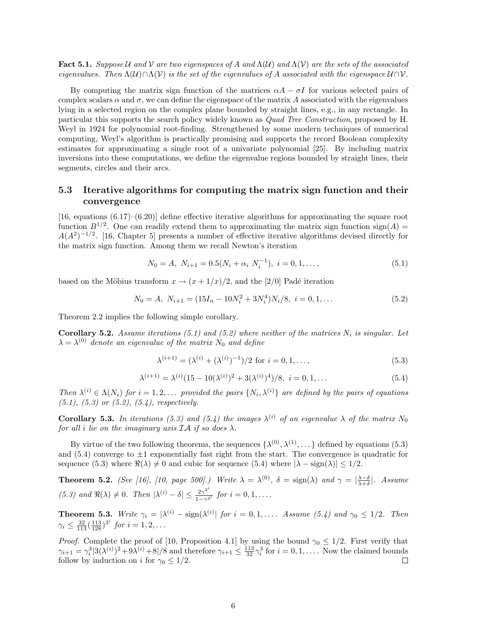Fact 5.1. Suppose U and V are two eigenspaces of A and  $\Lambda(U)$  and  $\Lambda(V)$  are the sets of the associated eigenvalues. Then  $\Lambda(U) \cap \Lambda(V)$  is the set of the eigenvalues of A associated with the eigenspace  $U \cap V$ .

By computing the matrix sign function of the matrices  $\alpha A - \sigma I$  for various selected pairs of complex scalars  $\alpha$  and  $\sigma$ , we can define the eigenspace of the matrix A associated with the eigenvalues lying in a selected region on the complex plane bounded by straight lines, e.g., in any rectangle. In particular this supports the search policy widely known as Quad Tree Construction, proposed by H. Weyl in 1924 for polynomial root-finding. Strengthened by some modern techniques of numerical computing, Weyl's algorithm is practically promising and supports the record Boolean complexity estimates for approximating a single root of a univariate polynomial [25]. By including matrix inversions into these computations, we define the eigenvalue regions bounded by straight lines, their segments, circles and their arcs.

### 5.3 Iterative algorithms for computing the matrix sign function and their convergence

[16, equations (6.17)–(6.20)] define effective iterative algorithms for approximating the square root function  $B^{1/2}$ . One can readily extend them to approximating the matrix sign function sign(A) =  $A(A^2)^{-1/2}$ . [16, Chapter 5] presents a number of effective iterative algorithms devised directly for the matrix sign function. Among them we recall Newton's iteration

$$
N_0 = A, N_{i+1} = 0.5(N_i + \alpha_i N_i^{-1}), i = 0, 1, ...,
$$
\n(5.1)

based on the Möbius transform  $x \to (x + 1/x)/2$ , and the [2/0] Padé iteration

$$
N_0 = A, N_{i+1} = (15I_n - 10N_i^2 + 3N_i^4)N_i/8, i = 0, 1, ...
$$
\n(5.2)

Theorem 2.2 implies the following simple corollary.

**Corollary 5.2.** Assume iterations (5.1) and (5.2) where neither of the matrices  $N_i$  is singular. Let  $\lambda = \lambda^{(0)}$  denote an eigenvalue of the matrix  $N_0$  and define

$$
\lambda^{(i+1)} = (\lambda^{(i)} + (\lambda^{(i)})^{-1})/2 \text{ for } i = 0, 1, ...,
$$
\n(5.3)

$$
\lambda^{(i+1)} = \lambda^{(i)} (15 - 10(\lambda^{(i)})^2 + 3(\lambda^{(i)})^4)/8, \ i = 0, 1, \dots
$$
\n(5.4)

Then  $\lambda^{(i)} \in \Lambda(N_i)$  for  $i = 1, 2, \ldots$  provided the pairs  $\{N_i, \lambda^{(i)}\}$  are defined by the pairs of equations  $(5.1), (5.3)$  or  $(5.2), (5.4),$  respectively.

**Corollary 5.3.** In iterations (5.3) and (5.4) the images  $\lambda^{(i)}$  of an eigenvalue  $\lambda$  of the matrix  $N_0$ for all i lie on the imaginary axis  $IA$  if so does  $\lambda$ .

By virtue of the two following theorems, the sequences  $\{\lambda^{(0)}, \lambda^{(1)}, \dots\}$  defined by equations (5.3) and  $(5.4)$  converge to  $\pm 1$  exponentially fast right from the start. The convergence is quadratic for sequence (5.3) where  $\Re(\lambda) \neq 0$  and cubic for sequence (5.4) where  $|\lambda - \text{sign}(\lambda)| \leq 1/2$ .

**Theorem 5.2.** (See [16], [10, page 500].) Write  $\lambda = \lambda^{(0)}$ ,  $\delta = \text{sign}(\lambda)$  and  $\gamma = |\frac{\lambda - \delta}{\lambda + \delta}|$ . Assume (5.3) and  $\Re(\lambda) \neq 0$ . Then  $|\lambda^{(i)} - \delta| \leq \frac{2\gamma^{2^i}}{1-\gamma^{2^i}}$  for  $i = 0, 1, \ldots$ .

**Theorem 5.3.** Write  $\gamma_i = |\lambda^{(i)} - \text{sign}(\lambda^{(i)}|)$  for  $i = 0, 1, \ldots$  Assume (5.4) and  $\gamma_0 \leq 1/2$ . Then  $\gamma_i \leq \frac{32}{113} (\frac{113}{128})^{3^i}$  for  $i = 1, 2, ...$ 

*Proof.* Complete the proof of [10, Proposition 4.1] by using the bound  $\gamma_0 \leq 1/2$ . First verify that  $\gamma_{i+1} = \gamma_i^3 |3(\lambda^{(i)})^2 + 9\lambda^{(i)} + 8|/8$  and therefore  $\gamma_{i+1} \le \frac{113}{32} \gamma_i^3$  for  $i = 0, 1, \ldots$  Now the claimed bounds follow by induction on i for  $\gamma_0 \leq 1/2$ .  $\Box$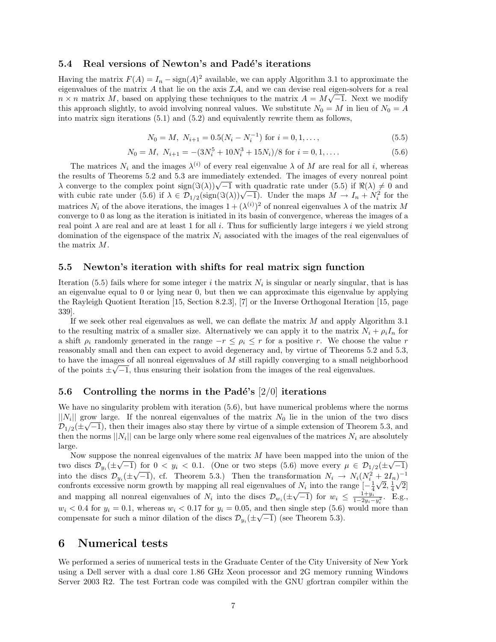### 5.4 Real versions of Newton's and Padé's iterations

Having the matrix  $F(A) = I_n - \text{sign}(A)^2$  available, we can apply Algorithm 3.1 to approximate the eigenvalues of the matrix A that lie on the axis  $I\mathcal{A}$ , and we can devise real eigen-solvers for a real  $n \times n$  matrix M, based on applying these techniques to the matrix  $A = M\sqrt{-1}$ . Next we modify this approach slightly, to avoid involving nonreal values. We substitute  $N_0 = M$  in lieu of  $N_0 = A$ into matrix sign iterations (5.1) and (5.2) and equivalently rewrite them as follows,

$$
N_0 = M, N_{i+1} = 0.5(N_i - N_i^{-1}) \text{ for } i = 0, 1, ...,
$$
\n(5.5)

$$
N_0 = M, N_{i+1} = -(3N_i^5 + 10N_i^3 + 15N_i)/8 \text{ for } i = 0, 1, ....
$$
\n(5.6)

The matrices  $N_i$  and the images  $\lambda^{(i)}$  of every real eigenvalue  $\lambda$  of M are real for all i, whereas the results of Theorems 5.2 and 5.3 are immediately extended. The images of every nonreal point the results of Theorems 5.2 and 5.3 are immediately extended. The images of every nonreal point  $\lambda$  converge to the complex point sign( $\Im(\lambda)\sqrt{-1}$  with quadratic rate under (5.5) if  $\Re(\lambda) \neq 0$  and  $\lambda$  converge to the complex point sign( $\Im(\lambda)/\sqrt{-1}$  with quadratic rate under (5.5) if  $\Re(\lambda) \neq 0$  and with cubic rate under (5.6) if  $\lambda \in \mathcal{D}_{1/2}(\text{sign}(\Im(\lambda))/\sqrt{-1})$ . Under the maps  $M \to I_n + N_i^2$  for the matrices  $N_i$  of the above iterations, the images  $1 + (\lambda^{(i)})^2$  of nonreal eigenvalues  $\lambda$  of the matrix M converge to 0 as long as the iteration is initiated in its basin of convergence, whereas the images of a real point  $\lambda$  are real and are at least 1 for all i. Thus for sufficiently large integers i we yield strong domination of the eigenspace of the matrix  $N_i$  associated with the images of the real eigenvalues of the matrix M.

### 5.5 Newton's iteration with shifts for real matrix sign function

Iteration (5.5) fails where for some integer i the matrix  $N_i$  is singular or nearly singular, that is has an eigenvalue equal to 0 or lying near 0, but then we can approximate this eigenvalue by applying the Rayleigh Quotient Iteration [15, Section 8.2.3], [7] or the Inverse Orthogonal Iteration [15, page 339].

If we seek other real eigenvalues as well, we can deflate the matrix M and apply Algorithm 3.1 to the resulting matrix of a smaller size. Alternatively we can apply it to the matrix  $N_i + \rho_i I_n$  for a shift  $\rho_i$  randomly generated in the range  $-r \leq \rho_i \leq r$  for a positive r. We choose the value r reasonably small and then can expect to avoid degeneracy and, by virtue of Theorems 5.2 and 5.3, to have the images of all nonreal eigenvalues of  $M$  still rapidly converging to a small neighborhood of the points  $\pm\sqrt{-1}$ , thus ensuring their isolation from the images of the real eigenvalues.

### 5.6 Controlling the norms in the Padé's  $[2/0]$  iterations

We have no singularity problem with iteration  $(5.6)$ , but have numerical problems where the norms  $||N_i||$  grow large. If the nonreal eigenvalues of the matrix  $N_0$  lie in the union of the two discs  $\mathcal{D}_{1/2}(\pm\sqrt{-1})$ , then their images also stay there by virtue of a simple extension of Theorem 5.3, and then the norms  $||N_i||$  can be large only where some real eigenvalues of the matrices  $N_i$  are absolutely large.

Now suppose the nonreal eigenvalues of the matrix M have been mapped into the union of the two discs  $\mathcal{D}_{y_i}(\pm \sqrt{-1})$  for  $0 < y_i < 0.1$ . (One or two steps (5.6) move every  $\mu \in \mathcal{D}_{1/2}(\pm \sqrt{-1})$ into the discs  $\mathcal{D}_{y_i}(\pm\sqrt{-1})$ , cf. Theorem 5.3.) Then the transformation  $N_i \to N_i(N_i^2 + 2I_n)^{-1}$ confronts excessive norm growth by mapping all real eigenvalues of  $N_i$  into the range  $\left[-\frac{1}{4}\sqrt{2},\frac{1}{4}\sqrt{2}\right]$ commons excessive norm growth by mapping an real eigenvalues of  $N_i$  into the range  $\lfloor \frac{-i}{4} \rfloor$ <br>and mapping all nonreal eigenvalues of  $N_i$  into the discs  $\mathcal{D}_{w_i}(\pm \sqrt{-1})$  for  $w_i \leq \frac{1+ y_{ii}}{1-2w_i}$  $\frac{1+y_i}{1-2y_i-y_i^2}$ . E.g.,  $w_i < 0.4$  for  $y_i = 0.1$ , whereas  $w_i < 0.17$  for  $y_i = 0.05$ , and then single step (5.6) would more than compensate for such a minor dilation of the discs  $\mathcal{D}_{y_i}(\pm\sqrt{-1})$  (see Theorem 5.3).

## 6 Numerical tests

We performed a series of numerical tests in the Graduate Center of the City University of New York using a Dell server with a dual core 1.86 GHz Xeon processor and 2G memory running Windows Server 2003 R2. The test Fortran code was compiled with the GNU gfortran compiler within the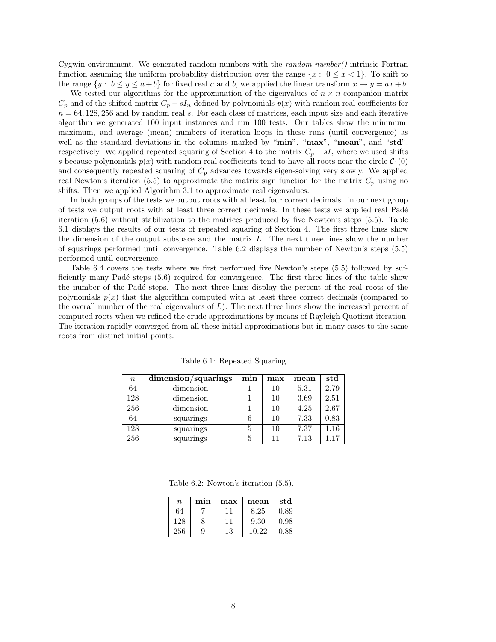Cygwin environment. We generated random numbers with the  $random_number()$  intrinsic Fortran function assuming the uniform probability distribution over the range  $\{x: 0 \le x < 1\}$ . To shift to the range  $\{y : b \le y \le a + b\}$  for fixed real a and b, we applied the linear transform  $x \to y = ax + b$ .

We tested our algorithms for the approximation of the eigenvalues of  $n \times n$  companion matrix  $C_p$  and of the shifted matrix  $C_p - sI_n$  defined by polynomials  $p(x)$  with random real coefficients for  $n = 64,128,256$  and by random real s. For each class of matrices, each input size and each iterative algorithm we generated 100 input instances and run 100 tests. Our tables show the minimum, maximum, and average (mean) numbers of iteration loops in these runs (until convergence) as well as the standard deviations in the columns marked by "min", "max", "mean", and "std", respectively. We applied repeated squaring of Section 4 to the matrix  $C_p - sI$ , where we used shifts s because polynomials  $p(x)$  with random real coefficients tend to have all roots near the circle  $C_1(0)$ and consequently repeated squaring of  $C_p$  advances towards eigen-solving very slowly. We applied real Newton's iteration (5.5) to approximate the matrix sign function for the matrix  $C_p$  using no shifts. Then we applied Algorithm 3.1 to approximate real eigenvalues.

In both groups of the tests we output roots with at least four correct decimals. In our next group of tests we output roots with at least three correct decimals. In these tests we applied real Pad´e iteration (5.6) without stabilization to the matrices produced by five Newton's steps (5.5). Table 6.1 displays the results of our tests of repeated squaring of Section 4. The first three lines show the dimension of the output subspace and the matrix L. The next three lines show the number of squarings performed until convergence. Table 6.2 displays the number of Newton's steps (5.5) performed until convergence.

Table 6.4 covers the tests where we first performed five Newton's steps (5.5) followed by sufficiently many Padé steps  $(5.6)$  required for convergence. The first three lines of the table show the number of the Padé steps. The next three lines display the percent of the real roots of the polynomials  $p(x)$  that the algorithm computed with at least three correct decimals (compared to the overall number of the real eigenvalues of  $L$ ). The next three lines show the increased percent of computed roots when we refined the crude approximations by means of Rayleigh Quotient iteration. The iteration rapidly converged from all these initial approximations but in many cases to the same roots from distinct initial points.

| $\, n$ | dimension/squarings | min | max | mean | std  |
|--------|---------------------|-----|-----|------|------|
| 64     | dimension           |     | 10  | 5.31 | 2.79 |
| 128    | dimension           |     | 10  | 3.69 | 2.51 |
| 256    | dimension           |     | 10  | 4.25 | 2.67 |
| 64     | squarings           |     | 10  | 7.33 | 0.83 |
| 128    | squarings           | 5   | 10  | 7.37 | 1.16 |
| 256    | squarings           | 5   | 11  | 7.13 | 1.17 |

Table 6.1: Repeated Squaring

Table 6.2: Newton's iteration (5.5).

| $\boldsymbol{n}$ | min | max | mean  | std  |
|------------------|-----|-----|-------|------|
| 64               |     | 11  | 8.25  | 0.89 |
| 128              |     | 11  | 9.30  | 0.98 |
| 256              |     | 13  | 10 22 | 0.88 |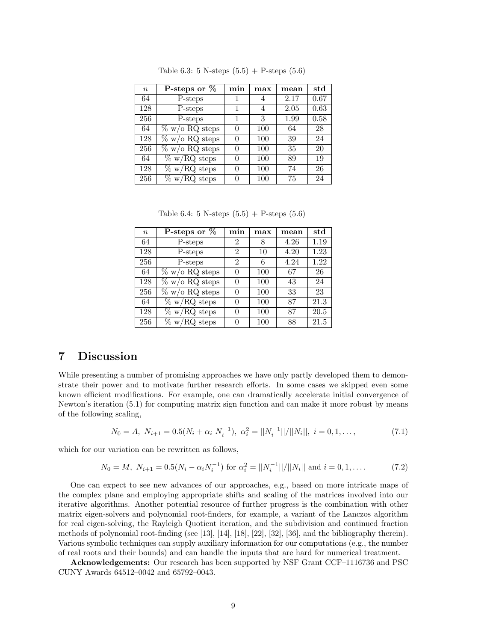| $\boldsymbol{n}$ | P-steps or $%$    | min | max | mean | $_{\rm std}$ |
|------------------|-------------------|-----|-----|------|--------------|
| 64               | P-steps           |     | 4   | 2.17 | 0.67         |
| 128              | P-steps           | 1   | 4   | 2.05 | 0.63         |
| 256              | P-steps           |     | 3   | 1.99 | 0.58         |
| 64               | $\%$ w/o RQ steps |     | 100 | 64   | 28           |
| 128              | $\%$ w/o RQ steps |     | 100 | 39   | 24           |
| 256              | $\%$ w/o RQ steps |     | 100 | 35   | 20           |
| 64               | $\%$ w/RQ steps   |     | 100 | 89   | 19           |
| 128              | $\%$ w/RQ steps   |     | 100 | 74   | 26           |
| 256              | $\%$ w/RQ steps   |     | 100 | 75   | 24           |

Table 6.3: 5 N-steps  $(5.5) +$  P-steps  $(5.6)$ 

Table 6.4: 5 N-steps  $(5.5) +$  P-steps  $(5.6)$ 

| $\boldsymbol{n}$ | P-steps or $\%$   | min            | max | mean | $_{\rm std}$ |
|------------------|-------------------|----------------|-----|------|--------------|
| 64               | P-steps           | 2              | 8   | 4.26 | 1.19         |
| 128              | P-steps           | $\overline{2}$ | 10  | 4.20 | 1.23         |
| 256              | P-steps           | $\overline{2}$ | 6   | 4.24 | 1.22         |
| 64               | $\%$ w/o RQ steps | $\Omega$       | 100 | 67   | 26           |
| 128              | $\%$ w/o RQ steps |                | 100 | 43   | 24           |
| 256              | $\%$ w/o RQ steps | $\Omega$       | 100 | 33   | 23           |
| 64               | $\%$ w/RQ steps   | $\Omega$       | 100 | 87   | 21.3         |
| 128              | $\%$ w/RQ steps   |                | 100 | 87   | 20.5         |
| 256              | $\%$ w/RQ steps   | $\Omega$       | 100 | 88   | 21.5         |

## 7 Discussion

While presenting a number of promising approaches we have only partly developed them to demonstrate their power and to motivate further research efforts. In some cases we skipped even some known efficient modifications. For example, one can dramatically accelerate initial convergence of Newton's iteration (5.1) for computing matrix sign function and can make it more robust by means of the following scaling,

$$
N_0 = A, N_{i+1} = 0.5(N_i + \alpha_i N_i^{-1}), \ \alpha_i^2 = ||N_i^{-1}||/||N_i||, \ i = 0, 1, \dots,
$$
\n(7.1)

which for our variation can be rewritten as follows,

$$
N_0 = M, N_{i+1} = 0.5(N_i - \alpha_i N_i^{-1}) \text{ for } \alpha_i^2 = ||N_i^{-1}||/||N_i|| \text{ and } i = 0, 1, \dots
$$
 (7.2)

One can expect to see new advances of our approaches, e.g., based on more intricate maps of the complex plane and employing appropriate shifts and scaling of the matrices involved into our iterative algorithms. Another potential resource of further progress is the combination with other matrix eigen-solvers and polynomial root-finders, for example, a variant of the Lanczos algorithm for real eigen-solving, the Rayleigh Quotient iteration, and the subdivision and continued fraction methods of polynomial root-finding (see [13], [14], [18], [22], [32], [36], and the bibliography therein). Various symbolic techniques can supply auxiliary information for our computations (e.g., the number of real roots and their bounds) and can handle the inputs that are hard for numerical treatment.

Acknowledgements: Our research has been supported by NSF Grant CCF–1116736 and PSC CUNY Awards 64512–0042 and 65792–0043.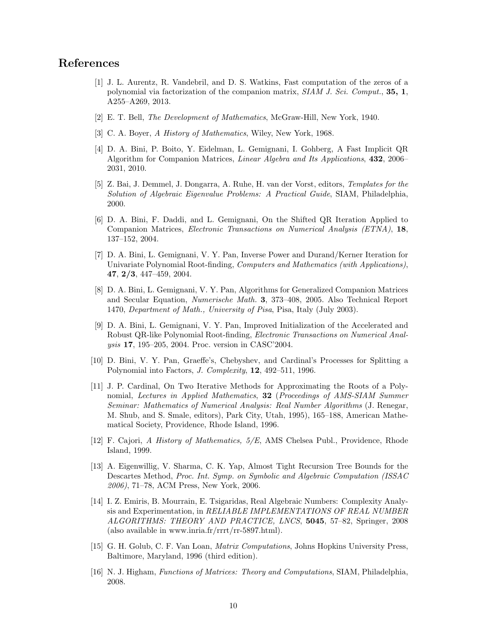## References

- [1] J. L. Aurentz, R. Vandebril, and D. S. Watkins, Fast computation of the zeros of a polynomial via factorization of the companion matrix, SIAM J. Sci. Comput., 35, 1, A255–A269, 2013.
- [2] E. T. Bell, The Development of Mathematics, McGraw-Hill, New York, 1940.
- [3] C. A. Boyer, A History of Mathematics, Wiley, New York, 1968.
- [4] D. A. Bini, P. Boito, Y. Eidelman, L. Gemignani, I. Gohberg, A Fast Implicit QR Algorithm for Companion Matrices, Linear Algebra and Its Applications, 432, 2006– 2031, 2010.
- [5] Z. Bai, J. Demmel, J. Dongarra, A. Ruhe, H. van der Vorst, editors, Templates for the Solution of Algebraic Eigenvalue Problems: A Practical Guide, SIAM, Philadelphia, 2000.
- [6] D. A. Bini, F. Daddi, and L. Gemignani, On the Shifted QR Iteration Applied to Companion Matrices, *Electronic Transactions on Numerical Analysis (ETNA)*, 18, 137–152, 2004.
- [7] D. A. Bini, L. Gemignani, V. Y. Pan, Inverse Power and Durand/Kerner Iteration for Univariate Polynomial Root-finding, *Computers and Mathematics (with Applications)*, 47, 2/3, 447–459, 2004.
- [8] D. A. Bini, L. Gemignani, V. Y. Pan, Algorithms for Generalized Companion Matrices and Secular Equation, Numerische Math. 3, 373–408, 2005. Also Technical Report 1470, Department of Math., University of Pisa, Pisa, Italy (July 2003).
- [9] D. A. Bini, L. Gemignani, V. Y. Pan, Improved Initialization of the Accelerated and Robust QR-like Polynomial Root-finding, Electronic Transactions on Numerical Analysis 17, 195–205, 2004. Proc. version in CASC'2004.
- [10] D. Bini, V. Y. Pan, Graeffe's, Chebyshev, and Cardinal's Processes for Splitting a Polynomial into Factors, J. Complexity, 12, 492–511, 1996.
- [11] J. P. Cardinal, On Two Iterative Methods for Approximating the Roots of a Polynomial, Lectures in Applied Mathematics, 32 (Proceedings of AMS-SIAM Summer Seminar: Mathematics of Numerical Analysis: Real Number Algorithms (J. Renegar, M. Shub, and S. Smale, editors), Park City, Utah, 1995), 165–188, American Mathematical Society, Providence, Rhode Island, 1996.
- [12] F. Cajori, A History of Mathematics, 5/E, AMS Chelsea Publ., Providence, Rhode Island, 1999.
- [13] A. Eigenwillig, V. Sharma, C. K. Yap, Almost Tight Recursion Tree Bounds for the Descartes Method, Proc. Int. Symp. on Symbolic and Algebraic Computation (ISSAC) 2006), 71–78, ACM Press, New York, 2006.
- [14] I. Z. Emiris, B. Mourrain, E. Tsigaridas, Real Algebraic Numbers: Complexity Analysis and Experimentation, in RELIABLE IMPLEMENTATIONS OF REAL NUMBER ALGORITHMS: THEORY AND PRACTICE, LNCS, 5045, 57–82, Springer, 2008 (also available in www.inria.fr/rrrt/rr-5897.html).
- [15] G. H. Golub, C. F. Van Loan, Matrix Computations, Johns Hopkins University Press, Baltimore, Maryland, 1996 (third edition).
- [16] N. J. Higham, Functions of Matrices: Theory and Computations, SIAM, Philadelphia, 2008.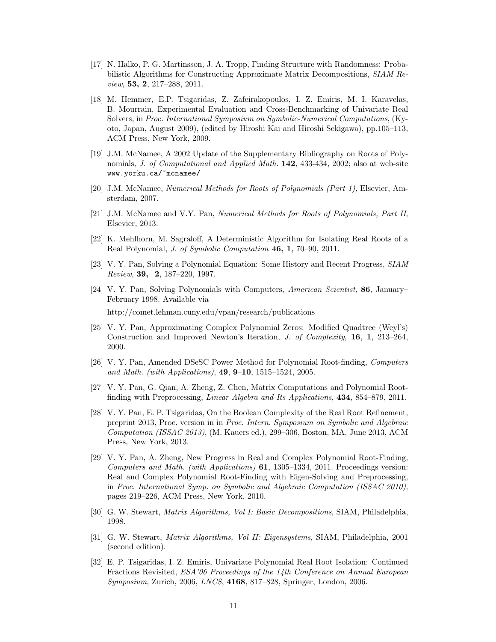- [17] N. Halko, P. G. Martinsson, J. A. Tropp, Finding Structure with Randomness: Probabilistic Algorithms for Constructing Approximate Matrix Decompositions, SIAM Review, 53, 2, 217–288, 2011.
- [18] M. Hemmer, E.P. Tsigaridas, Z. Zafeirakopoulos, I. Z. Emiris, M. I. Karavelas, B. Mourrain, Experimental Evaluation and Cross-Benchmarking of Univariate Real Solvers, in Proc. International Symposium on Symbolic-Numerical Computations, (Kyoto, Japan, August 2009), (edited by Hiroshi Kai and Hiroshi Sekigawa), pp.105–113, ACM Press, New York, 2009.
- [19] J.M. McNamee, A 2002 Update of the Supplementary Bibliography on Roots of Polynomials, *J. of Computational and Applied Math.* **142**, 433-434, 2002; also at web-site www.yorku.ca/~mcnamee/
- [20] J.M. McNamee, Numerical Methods for Roots of Polynomials (Part 1), Elsevier, Amsterdam, 2007.
- [21] J.M. McNamee and V.Y. Pan, Numerical Methods for Roots of Polynomials, Part II, Elsevier, 2013.
- [22] K. Mehlhorn, M. Sagraloff, A Deterministic Algorithm for Isolating Real Roots of a Real Polynomial, *J. of Symbolic Computation* 46, 1, 70–90, 2011.
- [23] V. Y. Pan, Solving a Polynomial Equation: Some History and Recent Progress, SIAM Review, 39, 2, 187–220, 1997.
- [24] V. Y. Pan, Solving Polynomials with Computers, American Scientist, 86, January– February 1998. Available via http://comet.lehman.cuny.edu/vpan/research/publications
- [25] V. Y. Pan, Approximating Complex Polynomial Zeros: Modified Quadtree (Weyl's) Construction and Improved Newton's Iteration, *J. of Complexity*, **16**, **1**, 213–264, 2000.
- [26] V. Y. Pan, Amended DSeSC Power Method for Polynomial Root-finding, Computers and Math. (with Applications),  $49, 9-10, 1515-1524, 2005$ .
- [27] V. Y. Pan, G. Qian, A. Zheng, Z. Chen, Matrix Computations and Polynomial Rootfinding with Preprocessing, Linear Algebra and Its Applications, 434, 854–879, 2011.
- [28] V. Y. Pan, E. P. Tsigaridas, On the Boolean Complexity of the Real Root Refinement, preprint 2013, Proc. version in in Proc. Intern. Symposium on Symbolic and Algebraic Computation (ISSAC 2013), (M. Kauers ed.), 299–306, Boston, MA, June 2013, ACM Press, New York, 2013.
- [29] V. Y. Pan, A. Zheng, New Progress in Real and Complex Polynomial Root-Finding, Computers and Math. (with Applications) 61, 1305–1334, 2011. Proceedings version: Real and Complex Polynomial Root-Finding with Eigen-Solving and Preprocessing, in Proc. International Symp. on Symbolic and Algebraic Computation (ISSAC 2010), pages 219–226, ACM Press, New York, 2010.
- [30] G. W. Stewart, Matrix Algorithms, Vol I: Basic Decompositions, SIAM, Philadelphia, 1998.
- [31] G. W. Stewart, Matrix Algorithms, Vol II: Eigensystems, SIAM, Philadelphia, 2001 (second edition).
- [32] E. P. Tsigaridas, I. Z. Emiris, Univariate Polynomial Real Root Isolation: Continued Fractions Revisited, ESA'06 Proceedings of the 14th Conference on Annual European Symposium, Zurich, 2006, LNCS, 4168, 817–828, Springer, London, 2006.